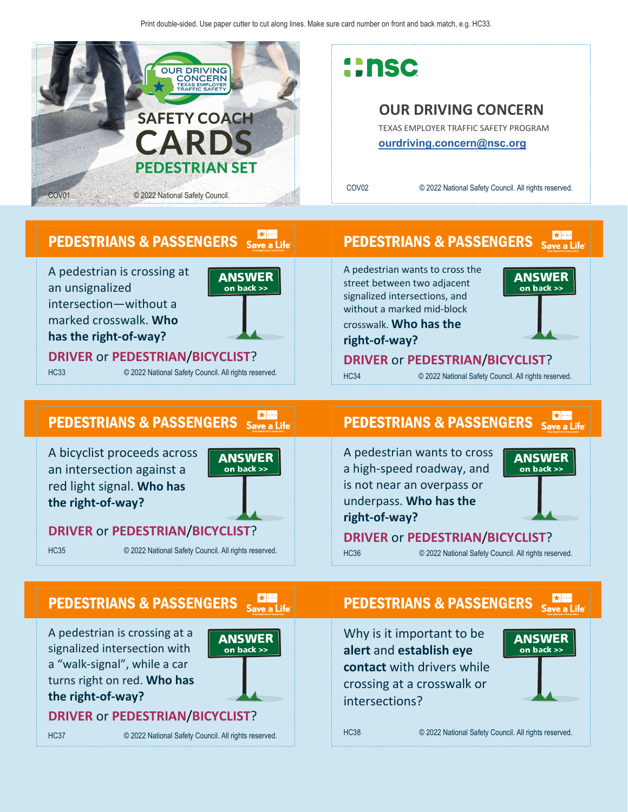

# **::nsc**

### **OUR DRIVING CONCERN**

TEXAS EMPLOYER TRAFFIC SAFETY PROGRAM **[ourdriving.concern@nsc.org](mailto:ourdriving.concern@nsc.org)**

PEDESTRIANS & PASSENGERS

A pedestrian wants to cross the street between two adjacent signalized intersections, and without a marked mid-block crosswalk. **Who has the** 

**right-of-way?**

COV02 © 2022 National Safety Council. All rights reserved.

### PEDESTRIANS & PASSENGERS Save a Life

A pedestrian is crossing at an unsignalized intersection—without a marked crosswalk. **Who has the right-of-way?**



**DRIVER** or **PEDESTRIAN**/**BICYCLIST**?

HC33 © 2022 National Safety Council. All rights reserved.

### PEDESTRIANS & PASSENGERS Save a Life

A bicyclist proceeds across an intersection against a red light signal. **Who has the right-of-way?**

A pedestrian is crossing at a signalized intersection with a "walk-signal", while a car turns right on red. **Who has** 

**the right-of-way?**



**ANSWER** 

 $\overline{on}$  back  $\gg$ 

### **DRIVER** or **PEDESTRIAN**/**BICYCLIST**?

**DRIVER** or **PEDESTRIAN**/**BICYCLIST**?

PEDESTRIANS & PASSENGERS Save a Life

HC35 © 2022 National Safety Council. All rights reserved.

# PEDESTRIANS & PASSENGERS Save a Life

**DRIVER** or **PEDESTRIAN**/**BICYCLIST**? HC34 © 2022 National Safety Council. All rights reserved.

A pedestrian wants to cross a high-speed roadway, and is not near an overpass or underpass. **Who has the right-of-way?**



 $\star$  ---Save a Life

**ANSWER** 

on back >>

**DRIVER** or **PEDESTRIAN**/**BICYCLIST**?

HC36 © 2022 National Safety Council. All rights reserved.

# PEDESTRIANS & PASSENGERS Save a Life

Why is it important to be **alert** and **establish eye contact** with drivers while crossing at a crosswalk or intersections?



HC38 © 2022 National Safety Council. All rights reserved.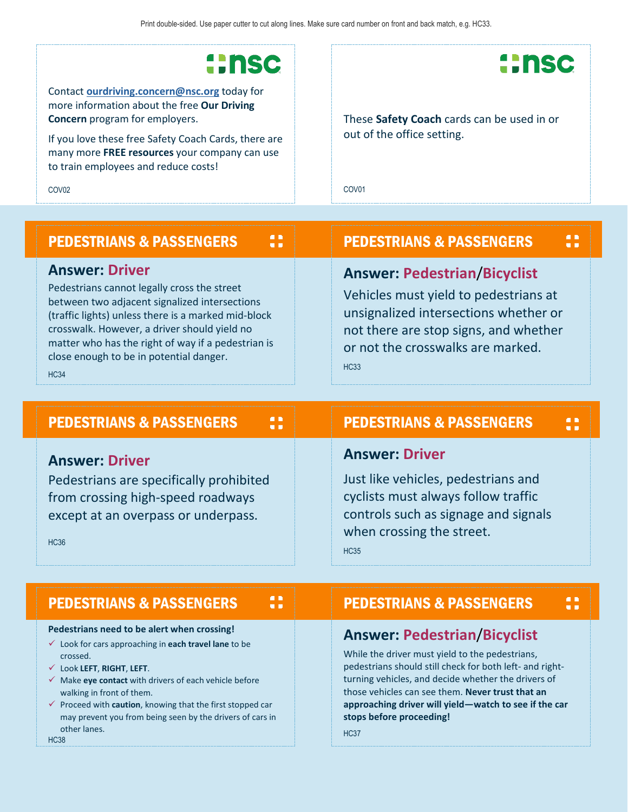# **::nsc**

Contact **[ourdriving.concern@nsc.org](mailto:ourdriving.concern@nsc.org)** today for more information about the free **Our Driving Concern** program for employers.

If you love these free Safety Coach Cards, there are many more **FREE resources** your company can use to train employees and reduce costs!

COV02

# **::nsc**

These **Safety Coach** cards can be used in or out of the office setting.

COV01

#### 8 PEDESTRIANS & PASSENGERS PEDESTRIANS & PASSENGERS **Answer: Driver Answer: Pedestrian**/**Bicyclist** Pedestrians cannot legally cross the street Vehicles must yield to pedestrians at between two adjacent signalized intersections unsignalized intersections whether or (traffic lights) unless there is a marked mid-block crosswalk. However, a driver should yield no not there are stop signs, and whether matter who has the right of way if a pedestrian is or not the crosswalks are marked. close enough to be in potential danger. HC33 HC34

#### PEDESTRIANS & PASSENGERS  $\ddot{\phantom{a}}$ PEDESTRIANS & PASSENGERS **Answer: Driver Answer: Driver** Pedestrians are specifically prohibited Just like vehicles, pedestrians and from crossing high-speed roadways cyclists must always follow traffic except at an overpass or underpass. controls such as signage and signals when crossing the street. HC36 HC35

 $\mathbf{a}$ 

### PEDESTRIANS & PASSENGERS

#### **Pedestrians need to be alert when crossing!**

- Look for cars approaching in **each travel lane** to be crossed.
- Look **LEFT**, **RIGHT**, **LEFT**.
- Make **eye contact** with drivers of each vehicle before walking in front of them.
- Proceed with **caution**, knowing that the first stopped car may prevent you from being seen by the drivers of cars in other lanes.

HC38

## PEDESTRIANS & PASSENGERS

 $\ddot{\phantom{a}}$ 

### **Answer: Pedestrian**/**Bicyclist**

While the driver must yield to the pedestrians, pedestrians should still check for both left- and rightturning vehicles, and decide whether the drivers of those vehicles can see them. **Never trust that an approaching driver will yield—watch to see if the car stops before proceeding!**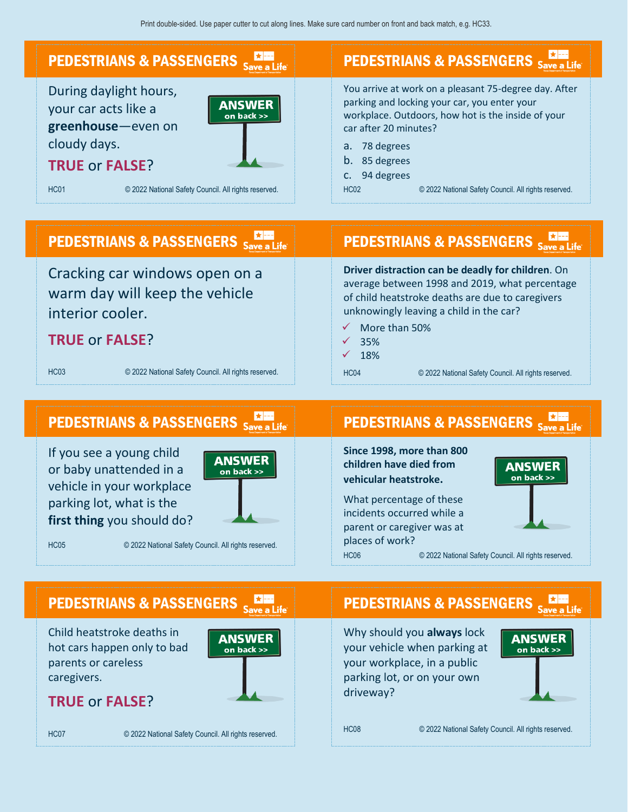

or baby unattended in a vehicle in your workplace parking lot, what is the **first thing** you should do?



HC05 © 2022 National Safety Council. All rights reserved.

**children have died from vehicular heatstroke.** 

What percentage of these incidents occurred while a parent or caregiver was at places of work?



HC06 © 2022 National Safety Council. All rights reserved.

### PEDESTRIANS & PASSENGERS Save a Life

Child heatstroke deaths in hot cars happen only to bad parents or careless caregivers.



**TRUE** or **FALSE**?

HC07 © 2022 National Safety Council. All rights reserved.

PEDESTRIANS & PASSENGERS Save a Life

Why should you **always** lock your vehicle when parking at your workplace, in a public parking lot, or on your own driveway?



HC08 © 2022 National Safety Council. All rights reserved.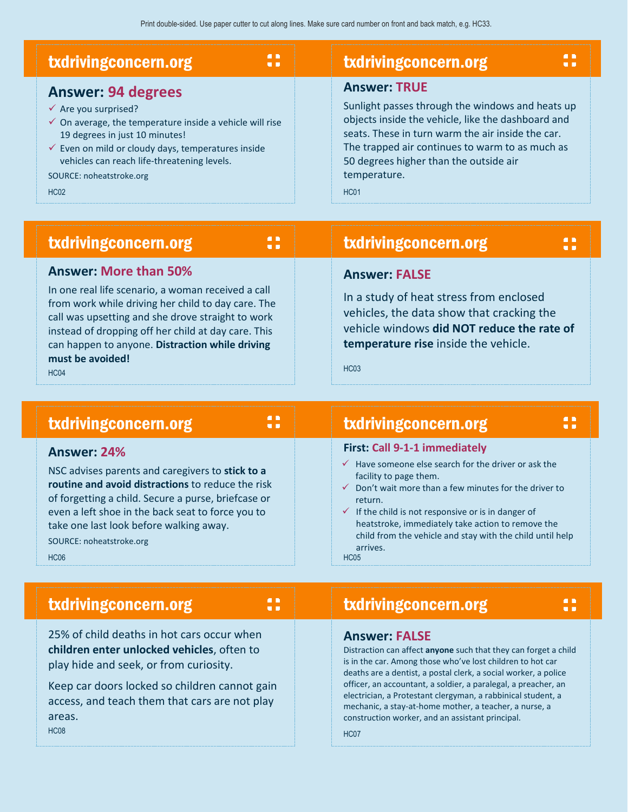| $\blacksquare$<br><b>txdrivingconcern.org</b><br>$\blacksquare$     | <b>txdrivingconcern.org</b>                        |
|---------------------------------------------------------------------|----------------------------------------------------|
| <b>Answer: 94 degrees</b>                                           | <b>Answer: TRUE</b>                                |
| $\checkmark$ Are you surprised?                                     | Sunlight passes through the windows and heats up   |
| $\checkmark$ On average, the temperature inside a vehicle will rise | objects inside the vehicle, like the dashboard and |
| 19 degrees in just 10 minutes!                                      | seats. These in turn warm the air inside the car.  |
| $\checkmark$ Even on mild or cloudy days, temperatures inside       | The trapped air continues to warm to as much as    |
| vehicles can reach life-threatening levels.                         | 50 degrees higher than the outside air             |
| SOURCE: noheatstroke.org                                            | temperature.                                       |
| <b>HC02</b>                                                         | <b>HC01</b>                                        |

### txdrivingconcern.org

#### **Answer: More than 50%**

txdrivingconcern.org

In one real life scenario, a woman received a call from work while driving her child to day care. The call was upsetting and she drove straight to work instead of dropping off her child at day care. This can happen to anyone. **Distraction while driving must be avoided!** HC04

### txdrivingconcern.org

8

8

 $\blacksquare$  $\blacksquare$ 

### **Answer: FALSE**

In a study of heat stress from enclosed vehicles, the data show that cracking the vehicle windows **did NOT reduce the rate of temperature rise** inside the vehicle.

HC03

### txdrivingconcern.org

#### **Answer: 24%**

NSC advises parents and caregivers to **stick to a routine and avoid distractions** to reduce the risk of forgetting a child. Secure a purse, briefcase or even a left shoe in the back seat to force you to take one last look before walking away.

SOURCE: noheatstroke.org HC06

#### **First: Call 9-1-1 immediately**

- $\checkmark$  Have someone else search for the driver or ask the facility to page them.
- $\checkmark$  Don't wait more than a few minutes for the driver to return.
- $\checkmark$  If the child is not responsive or is in danger of heatstroke, immediately take action to remove the child from the vehicle and stay with the child until help arrives. HC05

### txdrivingconcern.org

8

25% of child deaths in hot cars occur when **children enter unlocked vehicles**, often to play hide and seek, or from curiosity.

Keep car doors locked so children cannot gain access, and teach them that cars are not play areas.

HC08

### txdrivingconcern.org

#### **Answer: FALSE**

Distraction can affect **anyone** such that they can forget a child is in the car. Among those who've lost children to hot car deaths are a dentist, a postal clerk, a social worker, a police officer, an accountant, a soldier, a paralegal, a preacher, an electrician, a Protestant clergyman, a rabbinical student, a mechanic, a stay-at-home mother, a teacher, a nurse, a construction worker, and an assistant principal.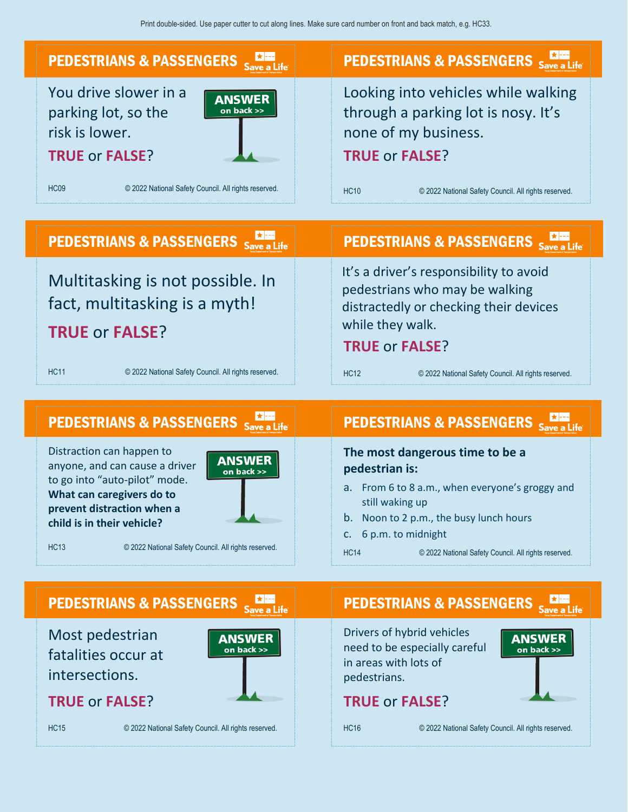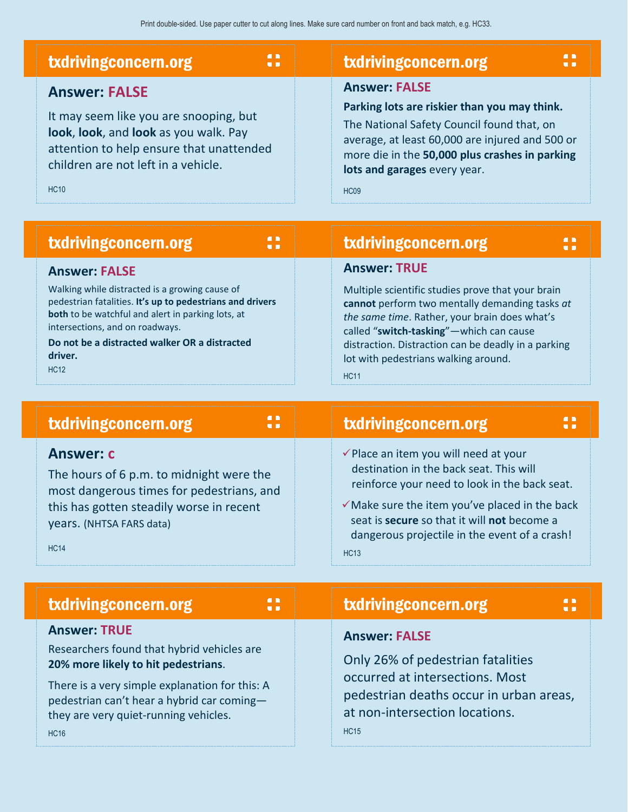| $\blacksquare$<br>txdrivingconcern.org<br>u p                                                                                                                                                             | $\blacksquare$<br>txdrivingconcern.org                                                                                                                                                                                                                                 |
|-----------------------------------------------------------------------------------------------------------------------------------------------------------------------------------------------------------|------------------------------------------------------------------------------------------------------------------------------------------------------------------------------------------------------------------------------------------------------------------------|
| <b>Answer: FALSE</b><br>It may seem like you are snooping, but<br>look, look, and look as you walk. Pay<br>attention to help ensure that unattended<br>children are not left in a vehicle.<br><b>HC10</b> | <b>Answer: FALSE</b><br>Parking lots are riskier than you may think.<br>The National Safety Council found that, on<br>average, at least 60,000 are injured and 500 or<br>more die in the 50,000 plus crashes in parking<br>lots and garages every year.<br><b>HC09</b> |
| $\blacksquare$<br>txdrivingconcern.org<br>$\blacksquare$                                                                                                                                                  | txdrivingconcern.org                                                                                                                                                                                                                                                   |

#### **Answer: FALSE**

Walking while distracted is a growing cause of pedestrian fatalities. **It's up to pedestrians and drivers both** to be watchful and alert in parking lots, at intersections, and on roadways.

**Do not be a distracted walker OR a distracted driver.** HC12

**Answer: TRUE**

Multiple scientific studies prove that your brain **cannot** perform two mentally demanding tasks *at the same time*. Rather, your brain does what's called "**switch-tasking**"—which can cause distraction. Distraction can be deadly in a parking lot with pedestrians walking around.

HC11

| <b>AD</b><br><b>txdrivingconcern.org</b><br>$\blacksquare$                                                                                                                                       |  | $\blacksquare$<br>txdrivingconcern.org<br>$\blacksquare$                                                                                                                                                                                                                                                                               |  |
|--------------------------------------------------------------------------------------------------------------------------------------------------------------------------------------------------|--|----------------------------------------------------------------------------------------------------------------------------------------------------------------------------------------------------------------------------------------------------------------------------------------------------------------------------------------|--|
| <b>Answer: c</b><br>The hours of 6 p.m. to midnight were the<br>most dangerous times for pedestrians, and<br>this has gotten steadily worse in recent<br>years. (NHTSA FARS data)<br><b>HC14</b> |  | $\checkmark$ Place an item you will need at your<br>destination in the back seat. This will<br>reinforce your need to look in the back seat.<br>$\checkmark$ Make sure the item you've placed in the back<br>seat is <b>secure</b> so that it will <b>not</b> become a<br>dangerous projectile in the event of a crash!<br><b>HC13</b> |  |
| $\blacksquare$<br>txdrivingconcern.org<br>$\blacksquare$                                                                                                                                         |  | $\blacksquare$<br>txdrivingconcern.org<br>$\blacksquare$                                                                                                                                                                                                                                                                               |  |
| <b>Answer: TRUE</b><br>Researchers found that hybrid vehicles are<br>20% more likely to hit pedestrians.                                                                                         |  | <b>Answer: FALSE</b><br>Only 26% of pedestrian fatalities                                                                                                                                                                                                                                                                              |  |

There is a very simple explanation for this: A pedestrian can't hear a hybrid car coming they are very quiet-running vehicles. HC16

occurred at intersections. Most pedestrian deaths occur in urban areas, at non-intersection locations.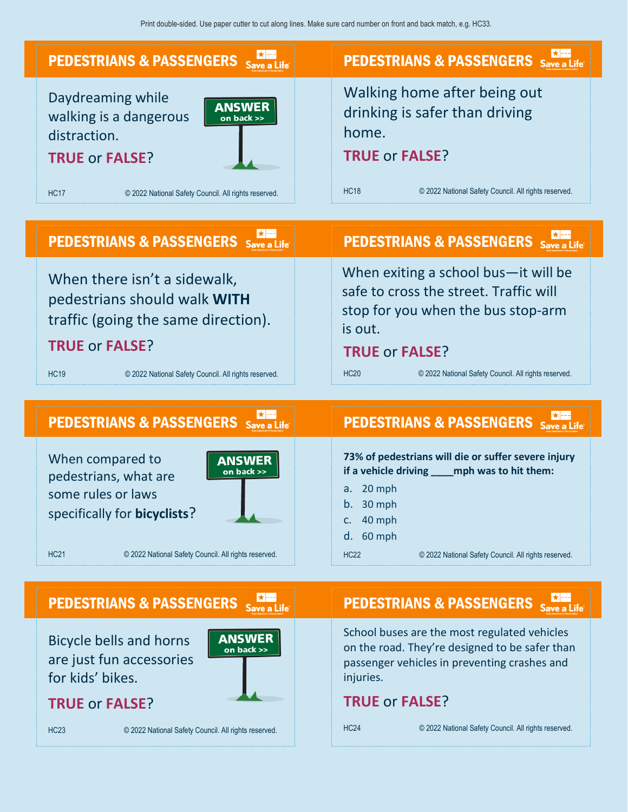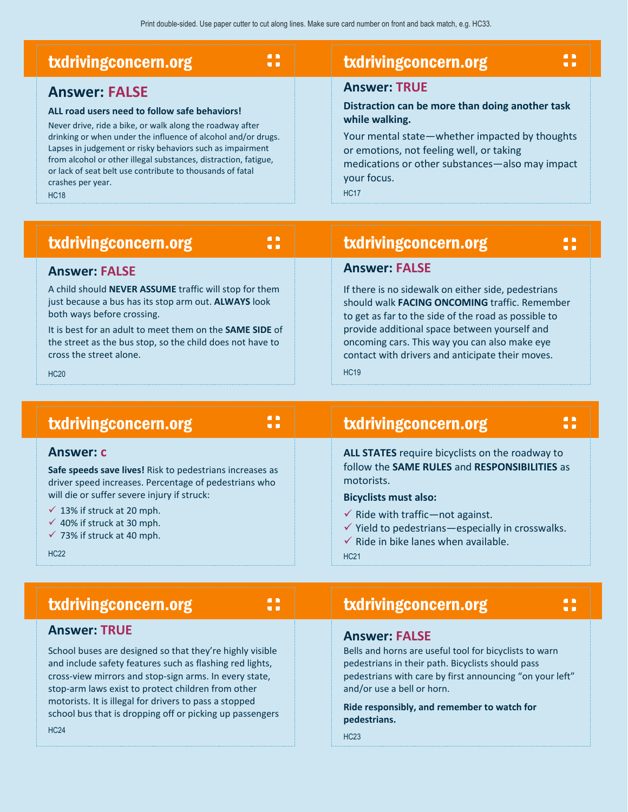| $\blacksquare$                                                                                                                                                                                                                                                                                                                                                                                                                       | $\blacksquare$                                                                                                                                                                                                                                                          |
|--------------------------------------------------------------------------------------------------------------------------------------------------------------------------------------------------------------------------------------------------------------------------------------------------------------------------------------------------------------------------------------------------------------------------------------|-------------------------------------------------------------------------------------------------------------------------------------------------------------------------------------------------------------------------------------------------------------------------|
| txdrivingconcern.org                                                                                                                                                                                                                                                                                                                                                                                                                 | txdrivingconcern.org                                                                                                                                                                                                                                                    |
| $\blacksquare$                                                                                                                                                                                                                                                                                                                                                                                                                       | $\blacksquare$                                                                                                                                                                                                                                                          |
| <b>Answer: FALSE</b><br>ALL road users need to follow safe behaviors!<br>Never drive, ride a bike, or walk along the roadway after<br>drinking or when under the influence of alcohol and/or drugs.<br>Lapses in judgement or risky behaviors such as impairment<br>from alcohol or other illegal substances, distraction, fatigue,<br>or lack of seat belt use contribute to thousands of fatal<br>crashes per year.<br><b>HC18</b> | <b>Answer: TRUE</b><br>Distraction can be more than doing another task<br>while walking.<br>Your mental state-whether impacted by thoughts<br>or emotions, not feeling well, or taking<br>medications or other substances-also may impact<br>your focus.<br><b>HC17</b> |

 $\ddot{\phantom{a}}$ 

|  | txdrivingconcern.org |
|--|----------------------|
|  |                      |

txdrivingconcern.org

will die or suffer severe injury if struck:

txdrivingconcern.org

 $\checkmark$  13% if struck at 20 mph.  $\checkmark$  40% if struck at 30 mph.  $\checkmark$  73% if struck at 40 mph.

## txdrivingconcern.org

**Answer: FALSE**

8

#### **Answer: FALSE**

A child should **NEVER ASSUME** traffic will stop for them just because a bus has its stop arm out. **ALWAYS** look both ways before crossing.

It is best for an adult to meet them on the **SAME SIDE** of the street as the bus stop, so the child does not have to cross the street alone.

**Safe speeds save lives!** Risk to pedestrians increases as driver speed increases. Percentage of pedestrians who

HC20

HC22

HC24

**Answer: c**

### txdrivingconcern.org

```
8
```
 $\blacksquare$  $\blacksquare$ 

**ALL STATES** require bicyclists on the roadway to follow the **SAME RULES** and **RESPONSIBILITIES** as motorists.

If there is no sidewalk on either side, pedestrians should walk **FACING ONCOMING** traffic. Remember to get as far to the side of the road as possible to provide additional space between yourself and oncoming cars. This way you can also make eye contact with drivers and anticipate their moves.

#### **Bicyclists must also:**

- $\checkmark$  Ride with traffic—not against.
- $\checkmark$  Yield to pedestrians—especially in crosswalks.
- $\checkmark$  Ride in bike lanes when available.

HC21

 $H<sub>C</sub>19$ 

### txdrivingconcern.org

#### **Answer: TRUE**

School buses are designed so that they're highly visible and include safety features such as flashing red lights, cross-view mirrors and stop-sign arms. In every state, stop-arm laws exist to protect children from other motorists. It is illegal for drivers to pass a stopped school bus that is dropping off or picking up passengers

#### **Answer: FALSE**

Bells and horns are useful tool for bicyclists to warn pedestrians in their path. Bicyclists should pass pedestrians with care by first announcing "on your left" and/or use a bell or horn.

**Ride responsibly, and remember to watch for pedestrians.**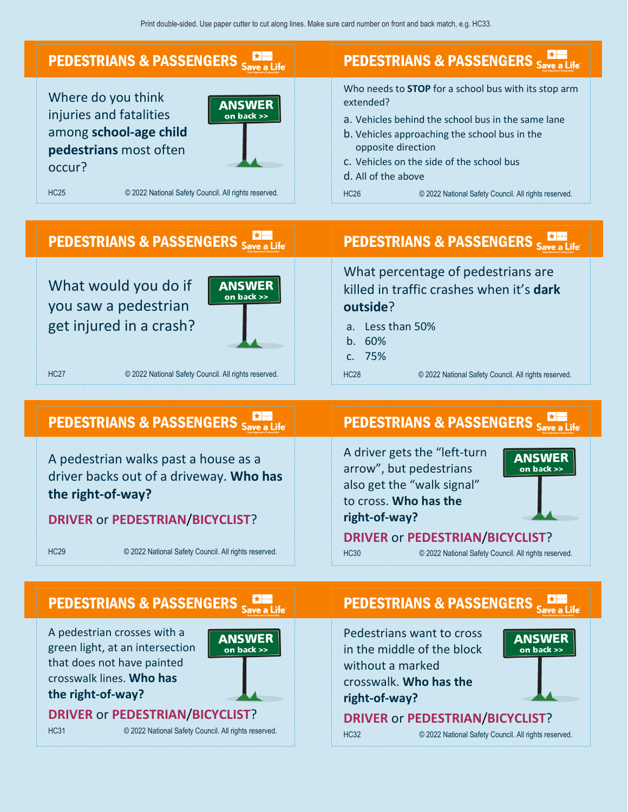